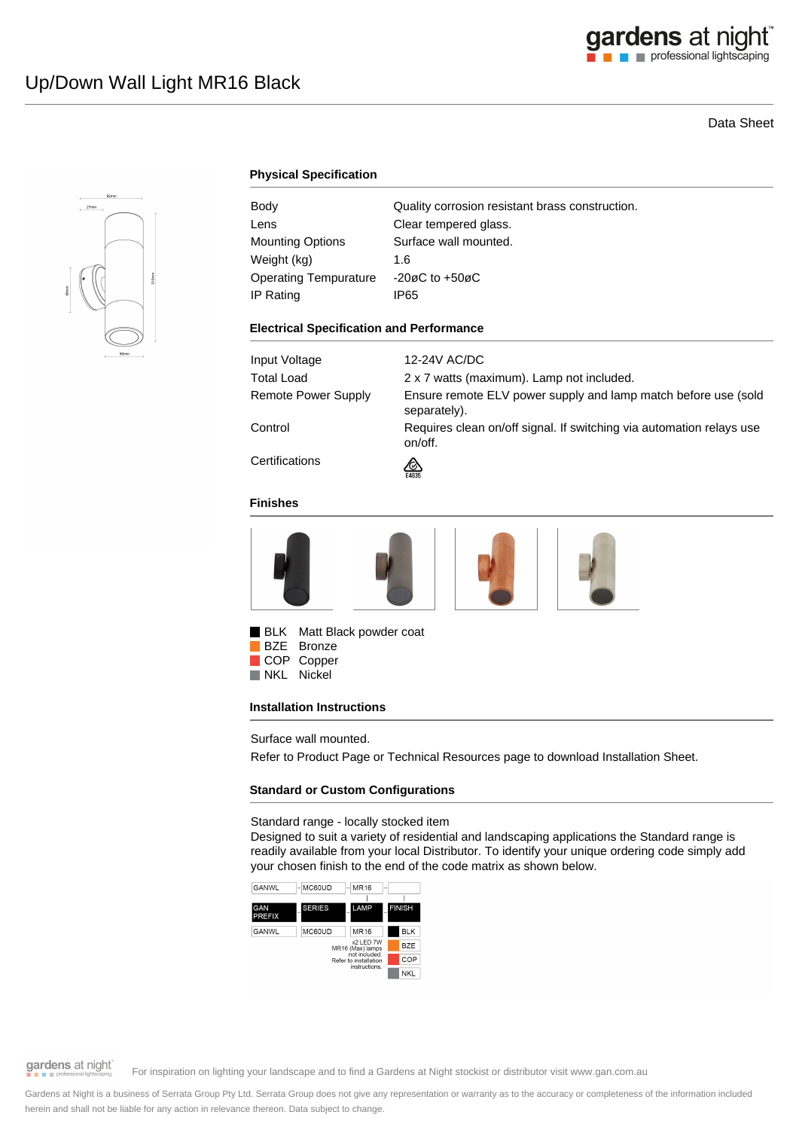# Data Sheet



# **Physical Specification**

| Body                    | Quality corrosion resistant brass construction. |
|-------------------------|-------------------------------------------------|
| Lens                    | Clear tempered glass.                           |
| <b>Mounting Options</b> | Surface wall mounted.                           |
| Weight (kg)             | 1.6                                             |
| Operating Tempurature   | $-20\varnothing$ C to $+50\varnothing$ C        |
| IP Rating               | IP65                                            |

#### **Electrical Specification and Performance**

| Input Voltage       | 12-24V AC/DC                                                                    |
|---------------------|---------------------------------------------------------------------------------|
| <b>Total Load</b>   | 2 x 7 watts (maximum). Lamp not included.                                       |
| Remote Power Supply | Ensure remote ELV power supply and lamp match before use (sold<br>separately).  |
| Control             | Requires clean on/off signal. If switching via automation relays use<br>on/off. |
| Certifications      | ∞<br>E4635                                                                      |

#### **Finishes**







BLK Matt Black powder coat

COP Copper<br>NKL Nickel Nickel

### **Installation Instructions**

Surface wall mounted.

Refer to Product Page or Technical Resources page to download Installation Sheet.

### **Standard or Custom Configurations**

Standard range - locally stocked item

Designed to suit a variety of residential and landscaping applications the Standard range is readily available from your local Distributor. To identify your unique ordering code simply add your chosen finish to the end of the code matrix as shown below.





# gardens at night

For inspiration on lighting your landscape and to find a Gardens at Night stockist or distributor visit www.gan.com.au

Gardens at Night is a business of Serrata Group Pty Ltd. Serrata Group does not give any representation or warranty as to the accuracy or completeness of the information included herein and shall not be liable for any action in relevance thereon. Data subject to change.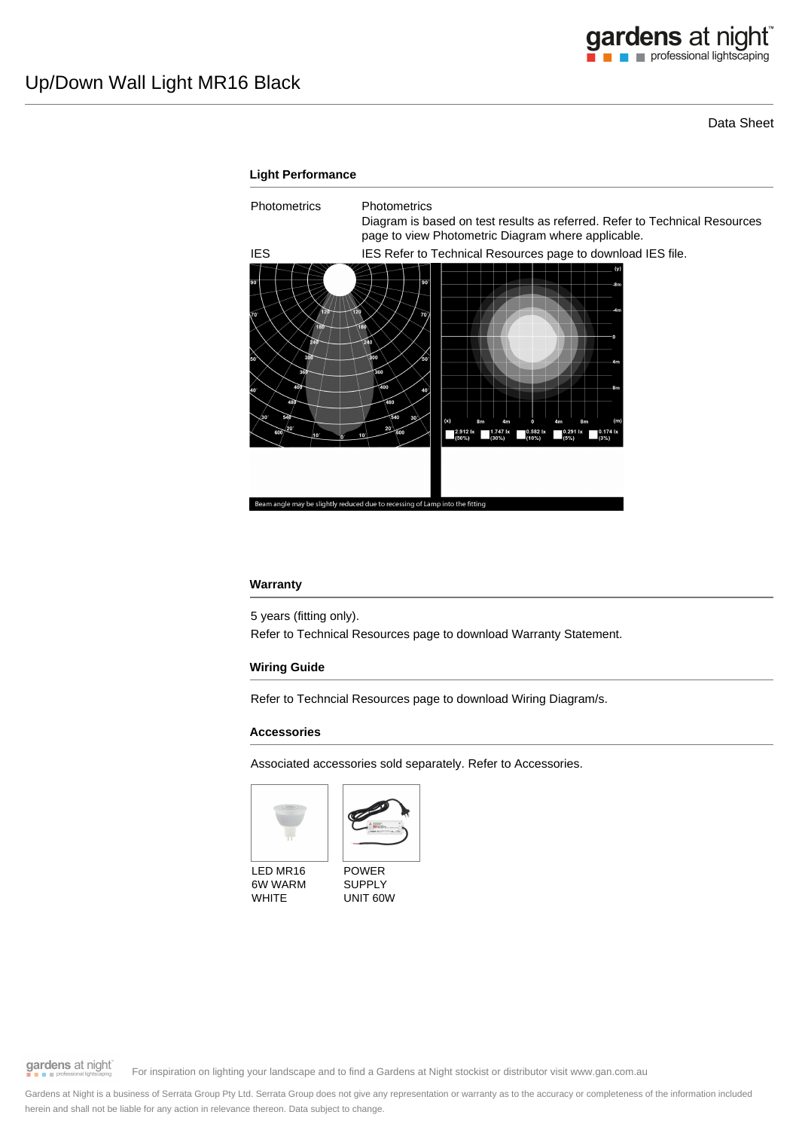Data Sheet



### **Warranty**

5 years (fitting only).

Refer to Technical Resources page to download Warranty Statement.

## **Wiring Guide**

Refer to Techncial Resources page to download Wiring Diagram/s.

### **Accessories**

Associated accessories sold separately. Refer to Accessories.





LED MR16 6W WARM WHITE

POWER SUPPLY UNIT 60W

gardens at night

For inspiration on lighting your landscape and to find a Gardens at Night stockist or distributor visit www.gan.com.au

Gardens at Night is a business of Serrata Group Pty Ltd. Serrata Group does not give any representation or warranty as to the accuracy or completeness of the information included herein and shall not be liable for any action in relevance thereon. Data subject to change.